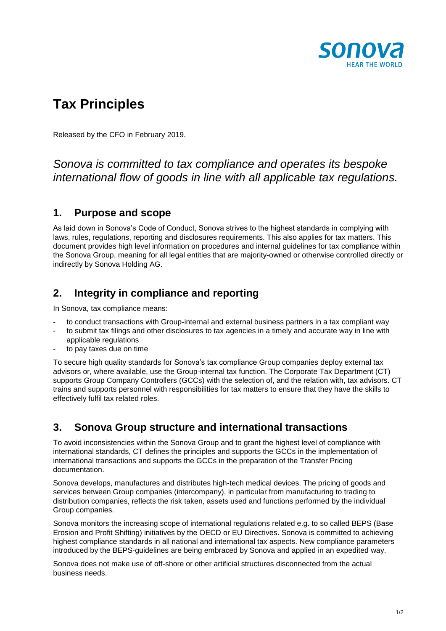

# **Tax Principles**

Released by the CFO in February 2019.

## *Sonova is committed to tax compliance and operates its bespoke international flow of goods in line with all applicable tax regulations.*

#### **1. Purpose and scope**

As laid down in Sonova's Code of Conduct, Sonova strives to the highest standards in complying with laws, rules, regulations, reporting and disclosures requirements. This also applies for tax matters. This document provides high level information on procedures and internal guidelines for tax compliance within the Sonova Group, meaning for all legal entities that are majority-owned or otherwise controlled directly or indirectly by Sonova Holding AG.

#### **2. Integrity in compliance and reporting**

In Sonova, tax compliance means:

- to conduct transactions with Group-internal and external business partners in a tax compliant way
- to submit tax filings and other disclosures to tax agencies in a timely and accurate way in line with
- applicable regulations to pay taxes due on time

To secure high quality standards for Sonova's tax compliance Group companies deploy external tax advisors or, where available, use the Group-internal tax function. The Corporate Tax Department (CT) supports Group Company Controllers (GCCs) with the selection of, and the relation with, tax advisors. CT trains and supports personnel with responsibilities for tax matters to ensure that they have the skills to effectively fulfil tax related roles.

## **3. Sonova Group structure and international transactions**

To avoid inconsistencies within the Sonova Group and to grant the highest level of compliance with international standards, CT defines the principles and supports the GCCs in the implementation of international transactions and supports the GCCs in the preparation of the Transfer Pricing documentation.

Sonova develops, manufactures and distributes high-tech medical devices. The pricing of goods and services between Group companies (intercompany), in particular from manufacturing to trading to distribution companies, reflects the risk taken, assets used and functions performed by the individual Group companies.

Sonova monitors the increasing scope of international regulations related e.g. to so called BEPS (Base Erosion and Profit Shifting) initiatives by the OECD or EU Directives. Sonova is committed to achieving highest compliance standards in all national and international tax aspects. New compliance parameters introduced by the BEPS-guidelines are being embraced by Sonova and applied in an expedited way.

Sonova does not make use of off-shore or other artificial structures disconnected from the actual business needs.